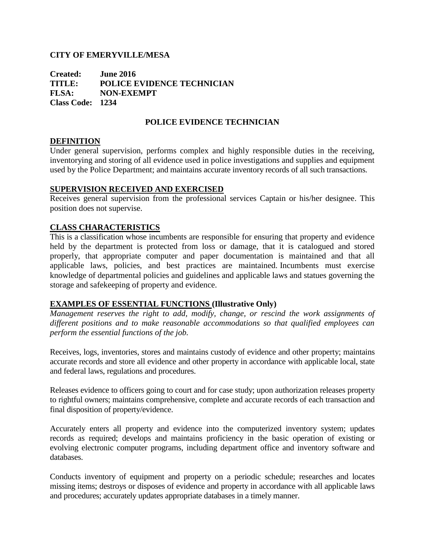### **CITY OF EMERYVILLE/MESA**

**Created: June 2016 TITLE: POLICE EVIDENCE TECHNICIAN FLSA: NON-EXEMPT Class Code: 1234**

## **POLICE EVIDENCE TECHNICIAN**

### **DEFINITION**

Under general supervision, performs complex and highly responsible duties in the receiving, inventorying and storing of all evidence used in police investigations and supplies and equipment used by the Police Department; and maintains accurate inventory records of all such transactions.

#### **SUPERVISION RECEIVED AND EXERCISED**

Receives general supervision from the professional services Captain or his/her designee. This position does not supervise.

### **CLASS CHARACTERISTICS**

This is a classification whose incumbents are responsible for ensuring that property and evidence held by the department is protected from loss or damage, that it is catalogued and stored properly, that appropriate computer and paper documentation is maintained and that all applicable laws, policies, and best practices are maintained. Incumbents must exercise knowledge of departmental policies and guidelines and applicable laws and statues governing the storage and safekeeping of property and evidence.

### **EXAMPLES OF ESSENTIAL FUNCTIONS (Illustrative Only)**

*Management reserves the right to add, modify, change, or rescind the work assignments of different positions and to make reasonable accommodations so that qualified employees can perform the essential functions of the job.*

Receives, logs, inventories, stores and maintains custody of evidence and other property; maintains accurate records and store all evidence and other property in accordance with applicable local, state and federal laws, regulations and procedures.

Releases evidence to officers going to court and for case study; upon authorization releases property to rightful owners; maintains comprehensive, complete and accurate records of each transaction and final disposition of property/evidence.

Accurately enters all property and evidence into the computerized inventory system; updates records as required; develops and maintains proficiency in the basic operation of existing or evolving electronic computer programs, including department office and inventory software and databases.

Conducts inventory of equipment and property on a periodic schedule; researches and locates missing items; destroys or disposes of evidence and property in accordance with all applicable laws and procedures; accurately updates appropriate databases in a timely manner.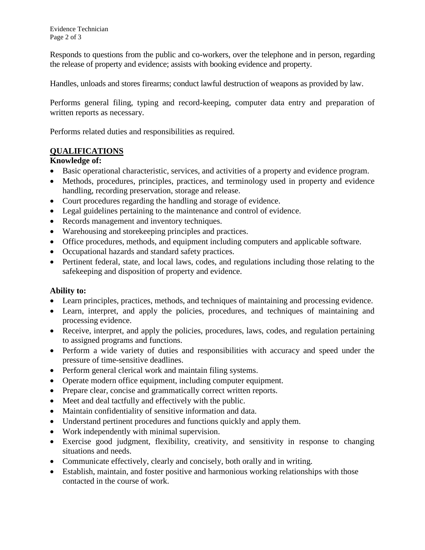Responds to questions from the public and co-workers, over the telephone and in person, regarding the release of property and evidence; assists with booking evidence and property.

Handles, unloads and stores firearms; conduct lawful destruction of weapons as provided by law.

Performs general filing, typing and record-keeping, computer data entry and preparation of written reports as necessary.

Performs related duties and responsibilities as required.

# **QUALIFICATIONS**

# **Knowledge of:**

- Basic operational characteristic, services, and activities of a property and evidence program.
- Methods, procedures, principles, practices, and terminology used in property and evidence handling, recording preservation, storage and release.
- Court procedures regarding the handling and storage of evidence.
- Legal guidelines pertaining to the maintenance and control of evidence.
- Records management and inventory techniques.
- Warehousing and storekeeping principles and practices.
- Office procedures, methods, and equipment including computers and applicable software.
- Occupational hazards and standard safety practices.
- Pertinent federal, state, and local laws, codes, and regulations including those relating to the safekeeping and disposition of property and evidence.

## **Ability to:**

- Learn principles, practices, methods, and techniques of maintaining and processing evidence.
- Learn, interpret, and apply the policies, procedures, and techniques of maintaining and processing evidence.
- Receive, interpret, and apply the policies, procedures, laws, codes, and regulation pertaining to assigned programs and functions.
- Perform a wide variety of duties and responsibilities with accuracy and speed under the pressure of time-sensitive deadlines.
- Perform general clerical work and maintain filing systems.
- Operate modern office equipment, including computer equipment.
- Prepare clear, concise and grammatically correct written reports.
- Meet and deal tactfully and effectively with the public.
- Maintain confidentiality of sensitive information and data.
- Understand pertinent procedures and functions quickly and apply them.
- Work independently with minimal supervision.
- Exercise good judgment, flexibility, creativity, and sensitivity in response to changing situations and needs.
- Communicate effectively, clearly and concisely, both orally and in writing.
- Establish, maintain, and foster positive and harmonious working relationships with those contacted in the course of work.